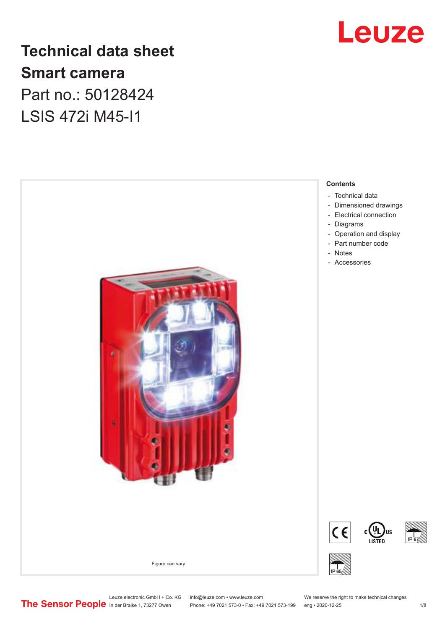

**Technical data sheet Smart camera** Part no.: 50128424 LSIS 472i M45-I1

-

### **Contents**

- [Technical data](#page-1-0)
- [Dimensioned drawings](#page-2-0)
- [Electrical connection](#page-2-0)
- [Diagrams](#page-4-0)
- [Operation and display](#page-4-0)
- [Part number code](#page-4-0)
- [Notes](#page-5-0)
- [Accessories](#page-5-0)







Leuze electronic GmbH + Co. KG info@leuze.com • www.leuze.com We reserve the right to make technical changes<br>
The Sensor People in der Braike 1, 73277 Owen Phone: +49 7021 573-0 • Fax: +49 7021 573-199 eng • 2020-12-25

Figure can vary

Phone: +49 7021 573-0 • Fax: +49 7021 573-199 eng • 2020-12-25 1 /8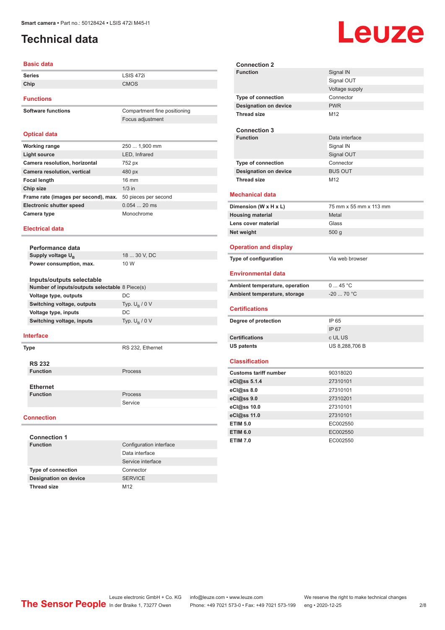## <span id="page-1-0"></span>**Technical data**

### **Basic data**

| Series | <b>LSIS 472i</b> |
|--------|------------------|
| Chip   | CMOS             |
|        |                  |

### **Functions**

**Software functions Compartment fine positioning** 

Focus adjustment

### **Optical data**

| <b>Working range</b>                 | 250  1,900 mm        |
|--------------------------------------|----------------------|
| Light source                         | LED, Infrared        |
| Camera resolution, horizontal        | 752 px               |
| Camera resolution, vertical          | 480 px               |
| <b>Focal length</b>                  | 16 mm                |
| Chip size                            | $1/3$ in             |
| Frame rate (images per second), max. | 50 pieces per second |
| <b>Electronic shutter speed</b>      | $0.05420$ ms         |
| Camera type                          | Monochrome           |

#### **Electrical data**

| Performance data                               |                  |
|------------------------------------------------|------------------|
| Supply voltage U <sub>n</sub>                  | 18  30 V. DC     |
| Power consumption, max.                        | 10 W             |
|                                                |                  |
| Inputs/outputs selectable                      |                  |
| Number of inputs/outputs selectable 8 Piece(s) |                  |
| Voltage type, outputs                          | DC.              |
| Switching voltage, outputs                     | Typ. $U_p / 0 V$ |
| Voltage type, inputs                           | DC               |
| Switching voltage, inputs                      | Typ. $U_p / 0 V$ |
|                                                |                  |
| Interface                                      |                  |
| Type                                           | RS 232. Ethernet |

| .               |         |
|-----------------|---------|
| <b>RS 232</b>   |         |
| <b>Function</b> | Process |
| <b>Ethernet</b> |         |
| <b>Function</b> | Process |
|                 | Service |
|                 |         |

#### **Connection**

| <b>Connection 1</b>          |                         |
|------------------------------|-------------------------|
| <b>Function</b>              | Configuration interface |
|                              | Data interface          |
|                              | Service interface       |
| <b>Type of connection</b>    | Connector               |
| <b>Designation on device</b> | <b>SERVICE</b>          |
| <b>Thread size</b>           | M <sub>12</sub>         |

| <b>Connection 2</b>            |                        |
|--------------------------------|------------------------|
| <b>Function</b>                | Signal IN              |
|                                | Signal OUT             |
|                                | Voltage supply         |
| Type of connection             | Connector              |
| <b>Designation on device</b>   | <b>PWR</b>             |
| <b>Thread size</b>             | M12                    |
| <b>Connection 3</b>            |                        |
| <b>Function</b>                | Data interface         |
|                                | Signal IN              |
|                                | Signal OUT             |
| Type of connection             | Connector              |
| <b>Designation on device</b>   | <b>BUS OUT</b>         |
| <b>Thread size</b>             | M12                    |
| <b>Mechanical data</b>         |                        |
|                                |                        |
| Dimension (W x H x L)          | 75 mm x 55 mm x 113 mm |
| <b>Housing material</b>        | Metal                  |
| Lens cover material            | Glass                  |
| Net weight                     | 500 g                  |
|                                |                        |
| <b>Operation and display</b>   |                        |
| Type of configuration          | Via web browser        |
|                                |                        |
| <b>Environmental data</b>      |                        |
| Ambient temperature, operation | 045 °C                 |
| Ambient temperature, storage   | -20  70 °C             |
| <b>Certifications</b>          |                        |
| Degree of protection           | IP 65                  |
|                                | IP 67                  |
| <b>Certifications</b>          | c UL US                |
| <b>US patents</b>              | US 8,288,706 B         |
| <b>Classification</b>          |                        |
| <b>Customs tariff number</b>   | 90318020               |
| eCl@ss 5.1.4                   | 27310101               |
| eCl@ss 8.0                     | 27310101               |
| eCl@ss 9.0                     | 27310201               |
| eCl@ss 10.0                    | 27310101               |
| eCl@ss 11.0                    | 27310101               |
| <b>ETIM 5.0</b>                | EC002550               |
| <b>ETIM 6.0</b>                | EC002550               |

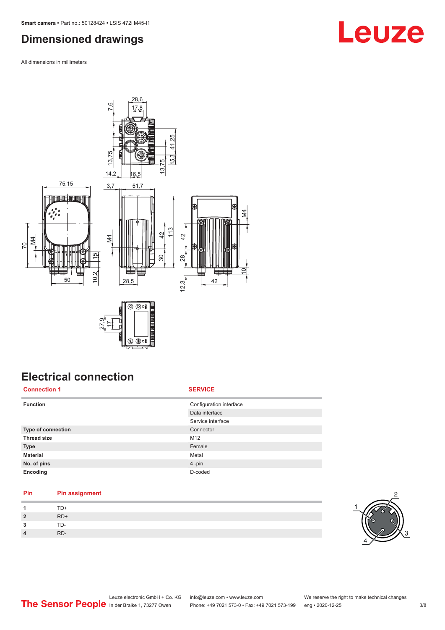## <span id="page-2-0"></span>**Dimensioned drawings**

All dimensions in millimeters



## **Electrical connection**

**Connection 1 SERVICE**

| Configuration interface<br><b>Function</b> |  |
|--------------------------------------------|--|
| Data interface                             |  |
| Service interface                          |  |
| Type of connection<br>Connector            |  |
| <b>Thread size</b><br>M <sub>12</sub>      |  |
| Female<br><b>Type</b>                      |  |
| <b>Material</b><br>Metal                   |  |
| No. of pins<br>4-pin                       |  |
| D-coded<br>Encoding                        |  |

### **Pin Pin assignment**

|             | $TD+$ |
|-------------|-------|
| $2^{\circ}$ | $RD+$ |
| 3           | TD-   |
| 4           | RD-   |



## **Leuze**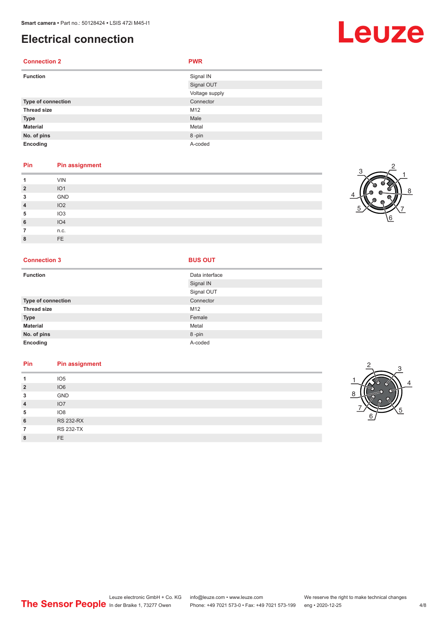## **Electrical connection**

### **Connection 2 PWR**

| <b>Function</b>    | Signal IN      |
|--------------------|----------------|
|                    | Signal OUT     |
|                    | Voltage supply |
| Type of connection | Connector      |
| <b>Thread size</b> | M12            |
| <b>Type</b>        | Male           |
| <b>Material</b>    | Metal          |
| No. of pins        | 8-pin          |
| Encoding           | A-coded        |

### **Pin Pin assignment**

|                | <b>VIN</b>      |
|----------------|-----------------|
| $\overline{2}$ | IO <sub>1</sub> |
| 3              | GND             |
| 4              | IO2             |
| 5              | IO <sub>3</sub> |
| 6              | IO4             |
|                | n.c.            |
| $\circ$<br>o   | <b>FE</b>       |

### **Connection 3 BUS OUT**

| <b>Function</b>    | Data interface |
|--------------------|----------------|
|                    | Signal IN      |
|                    | Signal OUT     |
| Type of connection | Connector      |
| Thread size        | M12            |
| <b>Type</b>        | Female         |
| <b>Material</b>    | Metal          |
| No. of pins        | 8-pin          |
| Encoding           | A-coded        |

### **Pin Pin assignment 1** IO5 **2** IO6

| 3 | <b>GND</b>       |
|---|------------------|
| 4 | IO7              |
| 5 | IO8              |
| 6 | <b>RS 232-RX</b> |
|   | <b>RS 232-TX</b> |
| 8 |                  |







6 7

4 5

Leuze

Leuze electronic GmbH + Co. KG info@leuze.com • www.leuze.com We reserve the right to make technical changes ln der Braike 1, 73277 Owen Phone: +49 7021 573-0 • Fax: +49 7021 573-199 eng • 2020-12-25 4/8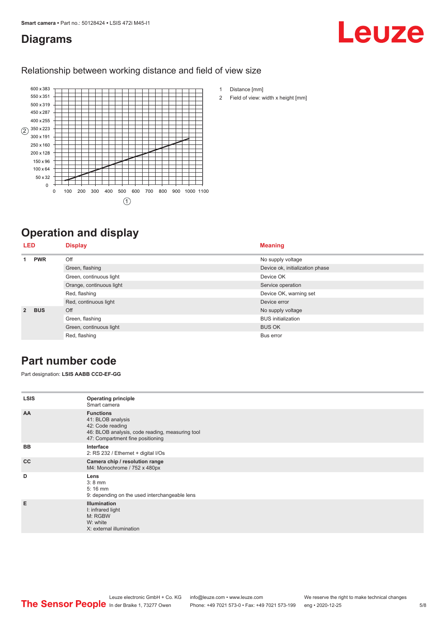## <span id="page-4-0"></span>**Diagrams**

# Leuze

### Relationship between working distance and field of view size



## **Operation and display**

| <b>LED</b>  |            | <b>Display</b>           | <b>Meaning</b>                  |
|-------------|------------|--------------------------|---------------------------------|
| 1           | <b>PWR</b> | Off                      | No supply voltage               |
|             |            | Green, flashing          | Device ok, initialization phase |
|             |            | Green, continuous light  | Device OK                       |
|             |            | Orange, continuous light | Service operation               |
|             |            | Red, flashing            | Device OK, warning set          |
|             |            | Red, continuous light    | Device error                    |
| $2^{\circ}$ | <b>BUS</b> | Off                      | No supply voltage               |
|             |            | Green, flashing          | <b>BUS</b> initialization       |
|             |            | Green, continuous light  | <b>BUS OK</b>                   |
|             |            | Red, flashing            | Bus error                       |

## **Part number code**

Part designation: **LSIS AABB CCD-EF-GG**

| <b>LSIS</b> | <b>Operating principle</b><br>Smart camera                                                                                                       |
|-------------|--------------------------------------------------------------------------------------------------------------------------------------------------|
| AA          | <b>Functions</b><br>41: BLOB analysis<br>42: Code reading<br>46: BLOB analysis, code reading, measuring tool<br>47: Compartment fine positioning |
| <b>BB</b>   | Interface<br>2: RS 232 / Ethernet + digital I/Os                                                                                                 |
| cc          | Camera chip / resolution range<br>M4: Monochrome / 752 x 480px                                                                                   |
| D           | Lens<br>$3:8$ mm<br>$5:16$ mm<br>9: depending on the used interchangeable lens                                                                   |
| E           | <b>Illumination</b><br>I: infrared light<br>M: RGBW<br>W: white<br>X: external illumination                                                      |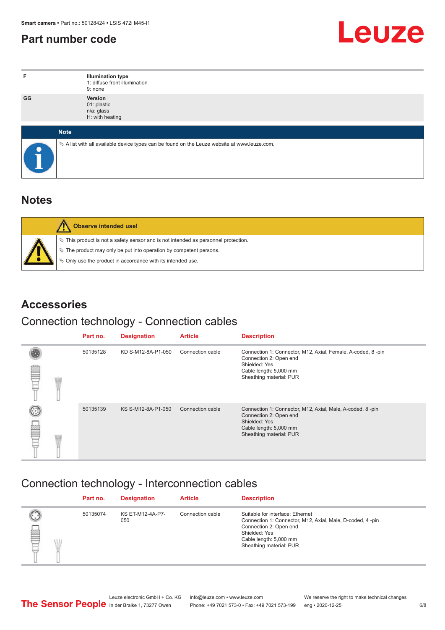## <span id="page-5-0"></span>**Part number code**



| F.        | <b>Illumination type</b><br>1: diffuse front illumination<br>9: none                       |
|-----------|--------------------------------------------------------------------------------------------|
| GG        | Version<br>01: plastic<br>n/a: glass<br>H: with heating                                    |
|           | <b>Note</b>                                                                                |
| $\bullet$ | A list with all available device types can be found on the Leuze website at www.leuze.com. |

## **Notes**

| <b>Observe intended use!</b>                                                          |
|---------------------------------------------------------------------------------------|
| $\%$ This product is not a safety sensor and is not intended as personnel protection. |
| ₹ The product may only be put into operation by competent persons.                    |
| § Only use the product in accordance with its intended use.                           |

## **Accessories**

## Connection technology - Connection cables

|   | Part no. | <b>Designation</b> | <b>Article</b>   | <b>Description</b>                                                                                                                                          |
|---|----------|--------------------|------------------|-------------------------------------------------------------------------------------------------------------------------------------------------------------|
| P | 50135128 | KD S-M12-8A-P1-050 | Connection cable | Connection 1: Connector, M12, Axial, Female, A-coded, 8-pin<br>Connection 2: Open end<br>Shielded: Yes<br>Cable length: 5,000 mm<br>Sheathing material: PUR |
| € | 50135139 | KS S-M12-8A-P1-050 | Connection cable | Connection 1: Connector, M12, Axial, Male, A-coded, 8-pin<br>Connection 2: Open end<br>Shielded: Yes<br>Cable length: 5,000 mm<br>Sheathing material: PUR   |

## Connection technology - Interconnection cables

|   | Part no. | <b>Designation</b>      | <b>Article</b>   | <b>Description</b>                                                                                                                                                                            |
|---|----------|-------------------------|------------------|-----------------------------------------------------------------------------------------------------------------------------------------------------------------------------------------------|
| E | 50135074 | KS ET-M12-4A-P7-<br>050 | Connection cable | Suitable for interface: Ethernet<br>Connection 1: Connector, M12, Axial, Male, D-coded, 4-pin<br>Connection 2: Open end<br>Shielded: Yes<br>Cable length: 5,000 mm<br>Sheathing material: PUR |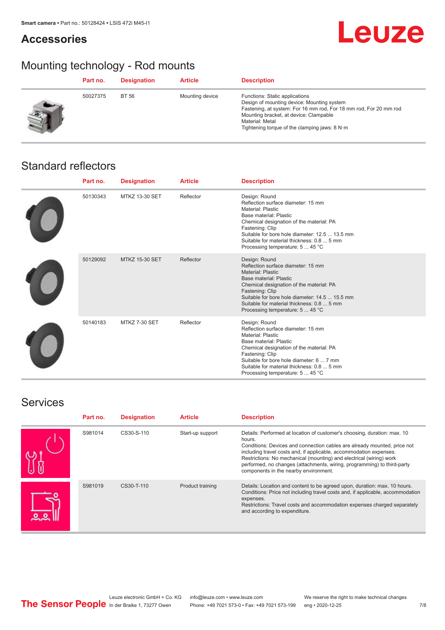## **Accessories**

# **Leuze**

## Mounting technology - Rod mounts

| Part no. | <b>Designation</b> | <b>Article</b>  | <b>Description</b>                                                                                                                                                                                                                                                |
|----------|--------------------|-----------------|-------------------------------------------------------------------------------------------------------------------------------------------------------------------------------------------------------------------------------------------------------------------|
| 50027375 | <b>BT 56</b>       | Mounting device | Functions: Static applications<br>Design of mounting device: Mounting system<br>Fastening, at system: For 16 mm rod, For 18 mm rod, For 20 mm rod<br>Mounting bracket, at device: Clampable<br>Material: Metal<br>Tightening torque of the clamping jaws: $8 N·m$ |

## Standard reflectors

| Part no. | <b>Designation</b>    | <b>Article</b> | <b>Description</b>                                                                                                                                                                                                                                                                                           |
|----------|-----------------------|----------------|--------------------------------------------------------------------------------------------------------------------------------------------------------------------------------------------------------------------------------------------------------------------------------------------------------------|
| 50130343 | <b>MTKZ 13-30 SET</b> | Reflector      | Design: Round<br>Reflection surface diameter: 15 mm<br>Material: Plastic<br>Base material: Plastic<br>Chemical designation of the material: PA<br>Fastening: Clip<br>Suitable for bore hole diameter: 12.5  13.5 mm<br>Suitable for material thickness: 0.8  5 mm<br>Processing temperature: 5  45 °C        |
| 50129092 | <b>MTKZ 15-30 SET</b> | Reflector      | Design: Round<br>Reflection surface diameter: 15 mm<br><b>Material: Plastic</b><br>Base material: Plastic<br>Chemical designation of the material: PA<br>Fastening: Clip<br>Suitable for bore hole diameter: 14.5  15.5 mm<br>Suitable for material thickness: 0.8  5 mm<br>Processing temperature: 5  45 °C |
| 50140183 | MTKZ 7-30 SET         | Reflector      | Design: Round<br>Reflection surface diameter: 15 mm<br><b>Material: Plastic</b><br>Base material: Plastic<br>Chemical designation of the material: PA<br>Fastening: Clip<br>Suitable for bore hole diameter: 6  7 mm<br>Suitable for material thickness: 0.8  5 mm<br>Processing temperature: 5  45 °C       |

## **Services**

| Part no. | <b>Designation</b> | <b>Article</b>   | <b>Description</b>                                                                                                                                                                                                                                                                                                                                                                                                              |
|----------|--------------------|------------------|---------------------------------------------------------------------------------------------------------------------------------------------------------------------------------------------------------------------------------------------------------------------------------------------------------------------------------------------------------------------------------------------------------------------------------|
| S981014  | CS30-S-110         | Start-up support | Details: Performed at location of customer's choosing, duration: max. 10<br>hours.<br>Conditions: Devices and connection cables are already mounted, price not<br>including travel costs and, if applicable, accommodation expenses.<br>Restrictions: No mechanical (mounting) and electrical (wiring) work<br>performed, no changes (attachments, wiring, programming) to third-party<br>components in the nearby environment. |
| S981019  | CS30-T-110         | Product training | Details: Location and content to be agreed upon, duration: max. 10 hours.<br>Conditions: Price not including travel costs and, if applicable, accommodation<br>expenses.<br>Restrictions: Travel costs and accommodation expenses charged separately<br>and according to expenditure.                                                                                                                                           |